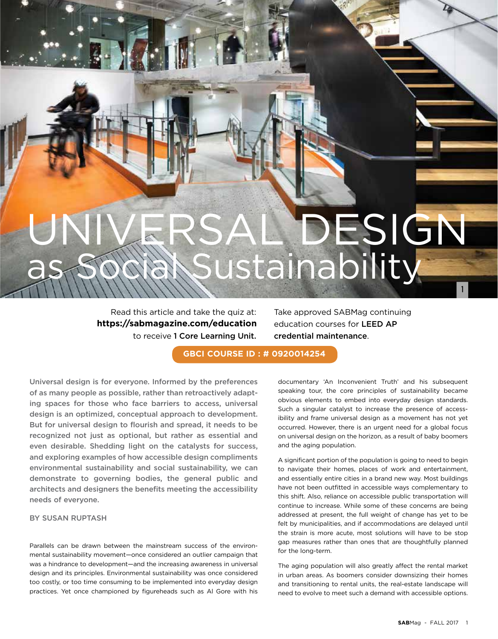# DESIGN Sustainability 1

Read this article and take the quiz at: https://sabmagazine.com/education to receive 1 Core Learning Unit. Take approved SABMag continuing education courses for LEED AP credential maintenance.

**GBCI COURSE ID : # 0920014254**

Universal design is for everyone. Informed by the preferences of as many people as possible, rather than retroactively adapting spaces for those who face barriers to access, universal design is an optimized, conceptual approach to development. But for universal design to flourish and spread, it needs to be recognized not just as optional, but rather as essential and even desirable. Shedding light on the catalysts for success, and exploring examples of how accessible design compliments environmental sustainability and social sustainability, we can demonstrate to governing bodies, the general public and architects and designers the benefits meeting the accessibility needs of everyone.

## BY SUSAN RUPTASH

Parallels can be drawn between the mainstream success of the environmental sustainability movement—once considered an outlier campaign that was a hindrance to development—and the increasing awareness in universal design and its principles. Environmental sustainability was once considered too costly, or too time consuming to be implemented into everyday design practices. Yet once championed by figureheads such as Al Gore with his documentary 'An Inconvenient Truth' and his subsequent speaking tour, the core principles of sustainability became obvious elements to embed into everyday design standards. Such a singular catalyst to increase the presence of accessibility and frame universal design as a movement has not yet occurred. However, there is an urgent need for a global focus on universal design on the horizon, as a result of baby boomers and the aging population.

A significant portion of the population is going to need to begin to navigate their homes, places of work and entertainment, and essentially entire cities in a brand new way. Most buildings have not been outfitted in accessible ways complementary to this shift. Also, reliance on accessible public transportation will continue to increase. While some of these concerns are being addressed at present, the full weight of change has yet to be felt by municipalities, and if accommodations are delayed until the strain is more acute, most solutions will have to be stop gap measures rather than ones that are thoughtfully planned for the long-term.

The aging population will also greatly affect the rental market in urban areas. As boomers consider downsizing their homes and transitioning to rental units, the real-estate landscape will need to evolve to meet such a demand with accessible options.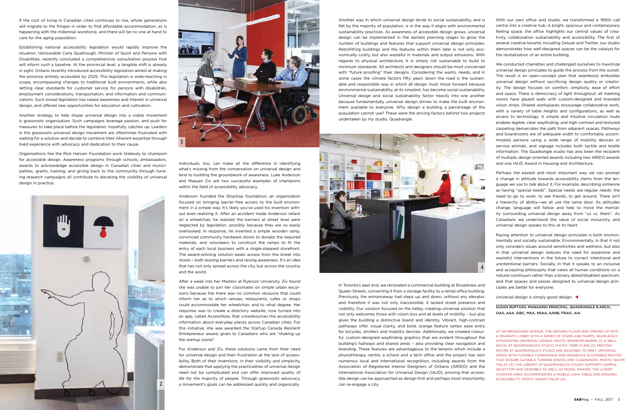If the cost of living in Canadian cities continues to rise, whole generations will migrate to the fringes in order to find affordable accommodation, as is happening with the millennial workforce, and there will be no one at hand to care for the aging population.

Establishing national accessibility legislation would rapidly improve the situation. Honourable Carla Qualtrough, Minister of Sport and Persons with Disabilities, recently concluded a comprehensive consultation process that will inform such a baseline. At the provincial level, a tangible shift is already in sight. Ontario recently introduced accessibility legislation aimed at making the province entirely accessible by 2025. This legislation is wide-reaching in scope, encompassing changes to traditional built environments, while also setting clear standards for customer service for persons with disabilities, employment considerations, transportation, and information and communications. Such broad legislation has raised awareness and interest in universal design, and offered new opportunities for education and cultivation.

Another strategy to help shape universal design into a viable movement is grassroots organization. Such campaigns leverage passion, and push for measures to take place before the legislation, hopefully, catches up. Leaders in the grassroots universal design movement are oftentimes frustrated with waiting for a solution and decide to combine their inherent expertise through lived experience with advocacy and dedication to their cause.

Organizations like the Rick Hansen Foundation work tirelessly to champion for accessible design. Awareness programs through schools, ambassadors, awards to acknowledge accessible design in Canadian cities and municipalities, grants, training, and giving back to the community through funding research campaigns all contribute to elevating the visibility of universal design in practice.

Individuals, too, can make all the difference in identifying what's missing from the conversation on universal design and lend to building the groundwork of awareness. Luke Anderson and Maayan Ziv are two successful examples of champions within the field of accessibility advocacy.

Anderson founded the StopGap foundation, an organization focused on bringing barrier-free access to the built environment in a simple way. It's likely you've used his invention without even realizing it. After an accident made Anderson reliant on a wheelchair, he realized the barriers at street level were neglected by legislation, possibly because they are so easily overlooked. In response, he invented a simple wooden ramp, convinced community hardware stores to donate the required materials, and volunteers to construct the ramps to fit the entry of each local business with a single-stepped storefront. The award-winning solution eases access from the street into stores – both erasing barriers and raising awareness. It's an idea that has not only spread across the city, but across the country and the world.

After a week into her Masters at Ryerson University, Ziv found she was unable to join her classmates on simple urban excursions because the there was no common resource that could inform her as to which venues, restaurants, cafes or shops could accommodate her wheelchair, and to what degree. Her response was to create a directory website, now turned into an app, called AccessNow, that crowdsources the accessibility information about everyday places across Canadian cities. For this initiative, she was awarded the Startup Canada Resilient Entrepreneur award, given to Canadians who are "shaking up the startup scene".

For Anderson and Ziv, these solutions came from their need for universal design and their frustration at the lack of accessibility. Both of their inventions, in their visibility and simplicity, demonstrate that applying the practicalities of universal design need not be complicated and can offer improved quality of life for the majority of people. Through grassroots advocacy, a movement's goals can be addressed quickly and organically.

Another way in which universal design lends to social sustainability, and is felt by the majority of population, is in the way it aligns with environmental sustainability practices. As awareness of accessible design grows, universal design can be implemented in the earliest planning stages to grow the number of buildings and features that support universal design principles. Retrofitting buildings and the features within them later is not only economically costly, but also wasteful in materials and output emissions. With regards to physical architecture, it is simply not sustainable to build to minimum standards. All architects and designers should be most concerned with "future proofing" their designs. Considering the wants, needs, and in some cases the climate factors fifty years down the road is the sustainable and responsible way in which all design must move forward because environmental sustainability, at its simplest, has become social sustainability. Universal design and social sustainability factor heavily into one another because fundamentally, universal design strives to make the built environment available to everyone. Why design a building a percentage of the population cannot use? These were the driving factors behind two projects undertaken by my studio, Quadrangle.



In Toronto's east end, we renovated a commercial building at Broadview and Queen Streets, converting it from a storage facility to a rental office building. Previously, the entranceway had steps up and down, without any elevator, and therefore it was not only inaccessible, it lacked street presence and visibility. Our solution focused on the lobby, creating universal solution that not only welcomes those with vision loss and all levels of mobility – but also gives the building a distinctive brand and identity. Vibrant, high-contrast pathways offer visual clarity, and bold, orange feature ramps ease entry for bicycles, strollers and mobility devices. Additionally, we created colourful, custom-designed wayfinding graphics that are evident throughout the building's hallways and shared areas – also providing clear navigation and branding. These features are advantageous to the tenants which include a physiotherapy centre, a school and a tech office and the project has won numerous local and international recognition, including awards from the Association of Registered Interior Designers of Ontario (ARIDO) and the International Association for Universal Design (IAUD), proving that accessible design can be approached as design first and perhaps most importantly, can re-engage a city.

With our own office and studio, we transformed a 1990s call centre into a creative hub. A bright, spacious and contemporary feeling space, the office highlights our central values of creativity, collaboration sustainability and accessibility. The first of several creative tenants including Deluxe and Twitter, our studio demonstrates how well-designed spaces can be the catalyst for the revitalization of an entire building.

We conducted charrettes and challenged ourselves to maximize universal design principles to guide the process from the outset. The result is an open-concept plan that seamlessly embodies universal design without sacrificing design quality or creativity. The design focuses on comfort, simplicity, ease of effort and space. There is democracy of light throughout: all meeting rooms have glazed walls with custom-designed and branded vision strips. Shared workspaces encourage collaborative work, with a variety of table heights and configurations, as well as access to technology. A simple and intuitive circulation route enables legible, clear wayfinding, and high contrast and textured carpeting demarcates the path from adjacent spaces. Pathways and boardrooms are of adequate width to comfortably accommodate persons using a wide range of mobility devices or service animals, and signage includes both tactile and braille information. The Quadrangle studio has also been the recipient of multiple, design oriented awards including two ARIDO awards and one IAUD Award in Housing and Architecture.

Perhaps the easiest and most important way we can prompt a change in attitude towards accessibility stems from the language we use to talk about it. For example, describing someone as having "special needs". Special needs are regular needs: the need to go to work, to see friends, to get around. There isn't a hierarchy of ability—we all use the same door. As attitudes change, language will follow and help to move the mentality surrounding universal design away from "us vs. them". As Canadians we understand the value of social inclusivity, and universal design speaks to this at its heart.

Paying attention to universal design principles is both environmentally and socially sustainable. Environmentally, in that it not only considers issues around sensitivities and wellness, but also in that universal design reduces the need for expensive and wasteful interventions in the future to correct intentional and unintentional barriers. Socially, in that it speaks to an inclusive and accepting philosophy that views all human conditions on a natural continuum rather than a binary abled/disabled spectrum, and that spaces and places designed to universal design principles are better for everyone.

Universal design is simply good design. <

SUSAN RUPTASH, MANAGING PRINCIPAL, QUADRANGLE B.ARCH., OAA, AAA, AIBC, MAA, NSAA, AANB, FRAIC, AIA





AT 100 BROADVIEW AVENUE, THE GROUND FLOOR WAS OPENED UP INTO A DRAMATIC LOBBY WITH A SERIES OF STAIRS AND RAMPS, SEAMLESSLY INTEGRATING UNIVERSAL DESIGN. PHOTO: BRANDON BARRE [1]. A WALL DECAL AT QUADRANGLE'S STUDIO. PHOTO: TERRI FLINN [2]. MEETING ROOMS AT QUADRANGLE'S STUDIO ARE DESIGNED TO MEET UNIVERSAL NEEDS WITH FLEXIBLE FURNISHINGS AND GENEROUS ACCESSIBLE ROUTES THAT ENSURE SUITABLE TURNING SPACES AND CLEARANCES. PHOTO: NAOMI FINLAY [3]. THE LIBRARY AT QUADRANGLE'S STUDIO SUPPORTS SAMPLE SELECTION AND ASSEMBLY AS WELL AS MODEL MAKING. THE LOWER COUNTER AREA ACCOMMODATES A MOBILE LIGHT TABLE AND ENSURES ACCESSIBILITY. PHOTO: NAOMI FINLAY [4].